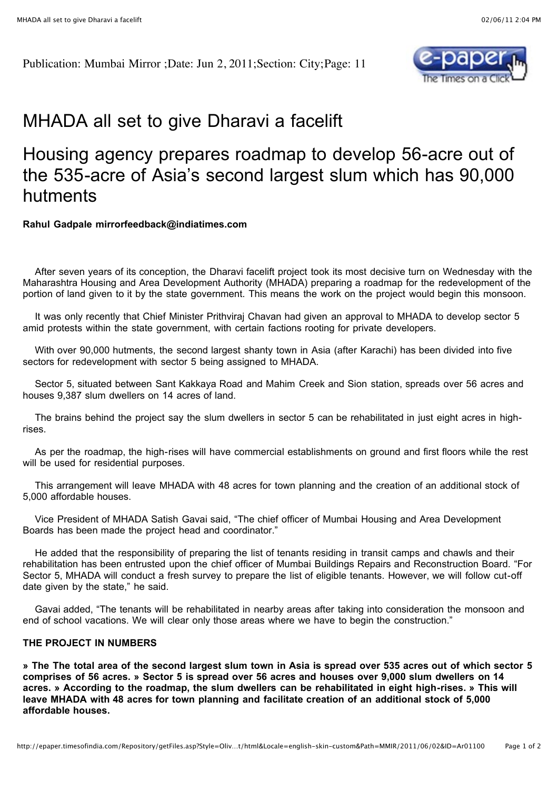Publication: Mumbai Mirror ;Date: Jun 2, 2011;Section: City;Page: 11



## MHADA all set to give Dharavi a facelift

## Housing agency prepares roadmap to develop 56-acre out of the 535-acre of Asia's second largest slum which has 90,000 hutments

## **Rahul Gadpale mirrorfeedback@indiatimes.com**

 After seven years of its conception, the Dharavi facelift project took its most decisive turn on Wednesday with the Maharashtra Housing and Area Development Authority (MHADA) preparing a roadmap for the redevelopment of the portion of land given to it by the state government. This means the work on the project would begin this monsoon.

 It was only recently that Chief Minister Prithviraj Chavan had given an approval to MHADA to develop sector 5 amid protests within the state government, with certain factions rooting for private developers.

 With over 90,000 hutments, the second largest shanty town in Asia (after Karachi) has been divided into five sectors for redevelopment with sector 5 being assigned to MHADA.

 Sector 5, situated between Sant Kakkaya Road and Mahim Creek and Sion station, spreads over 56 acres and houses 9,387 slum dwellers on 14 acres of land.

 The brains behind the project say the slum dwellers in sector 5 can be rehabilitated in just eight acres in highrises.

 As per the roadmap, the high-rises will have commercial establishments on ground and first floors while the rest will be used for residential purposes.

 This arrangement will leave MHADA with 48 acres for town planning and the creation of an additional stock of 5,000 affordable houses.

 Vice President of MHADA Satish Gavai said, "The chief officer of Mumbai Housing and Area Development Boards has been made the project head and coordinator."

 He added that the responsibility of preparing the list of tenants residing in transit camps and chawls and their rehabilitation has been entrusted upon the chief officer of Mumbai Buildings Repairs and Reconstruction Board. "For Sector 5, MHADA will conduct a fresh survey to prepare the list of eligible tenants. However, we will follow cut-off date given by the state," he said.

 Gavai added, "The tenants will be rehabilitated in nearby areas after taking into consideration the monsoon and end of school vacations. We will clear only those areas where we have to begin the construction."

## **THE PROJECT IN NUMBERS**

**» The The total area of the second largest slum town in Asia is spread over 535 acres out of which sector 5 comprises of 56 acres. » Sector 5 is spread over 56 acres and houses over 9,000 slum dwellers on 14 acres. » According to the roadmap, the slum dwellers can be rehabilitated in eight high-rises. » This will leave MHADA with 48 acres for town planning and facilitate creation of an additional stock of 5,000 affordable houses.**